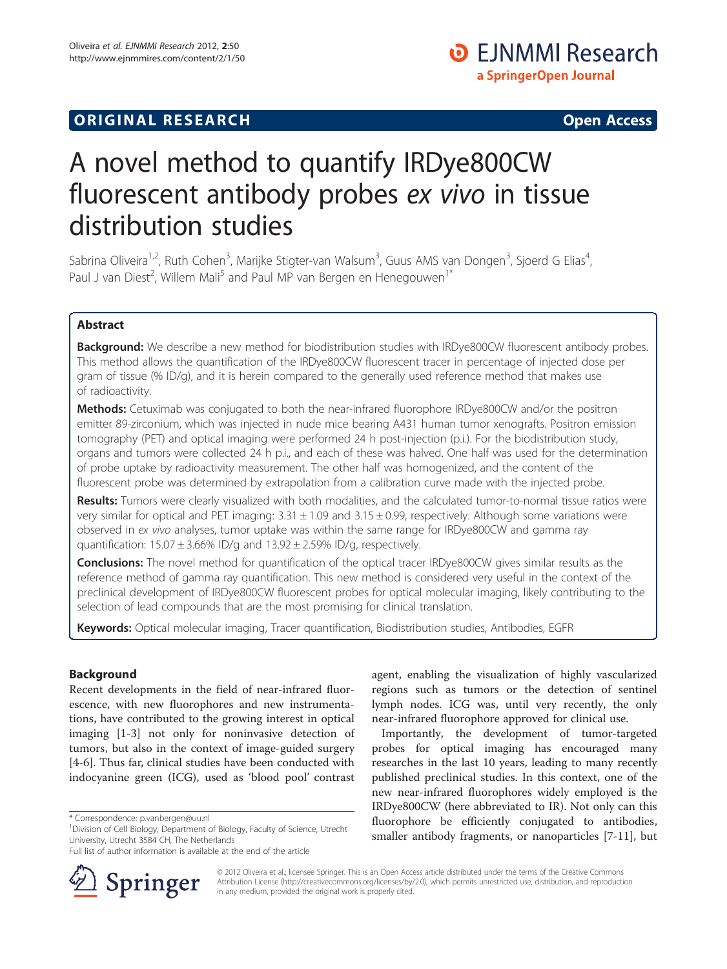# **ORIGINAL RESEARCH CONSUMING ACCESS**

# A novel method to quantify IRDye800CW fluorescent antibody probes ex vivo in tissue distribution studies

Sabrina Oliveira<sup>1,2</sup>, Ruth Cohen<sup>3</sup>, Marijke Stigter-van Walsum<sup>3</sup>, Guus AMS van Dongen<sup>3</sup>, Sjoerd G Elias<sup>4</sup> , Paul J van Diest<sup>2</sup>, Willem Mali<sup>5</sup> and Paul MP van Bergen en Henegouwen<sup>1\*</sup>

# Abstract

**Background:** We describe a new method for biodistribution studies with IRDye800CW fluorescent antibody probes. This method allows the quantification of the IRDye800CW fluorescent tracer in percentage of injected dose per gram of tissue (% ID/g), and it is herein compared to the generally used reference method that makes use of radioactivity.

Methods: Cetuximab was conjugated to both the near-infrared fluorophore IRDye800CW and/or the positron emitter 89-zirconium, which was injected in nude mice bearing A431 human tumor xenografts. Positron emission tomography (PET) and optical imaging were performed 24 h post-injection (p.i.). For the biodistribution study, organs and tumors were collected 24 h p.i., and each of these was halved. One half was used for the determination of probe uptake by radioactivity measurement. The other half was homogenized, and the content of the fluorescent probe was determined by extrapolation from a calibration curve made with the injected probe.

Results: Tumors were clearly visualized with both modalities, and the calculated tumor-to-normal tissue ratios were very similar for optical and PET imaging:  $3.31 \pm 1.09$  and  $3.15 \pm 0.99$ , respectively. Although some variations were observed in ex vivo analyses, tumor uptake was within the same range for IRDye800CW and gamma ray quantification:  $15.07 \pm 3.66\%$  ID/g and  $13.92 \pm 2.59\%$  ID/g, respectively.

Conclusions: The novel method for quantification of the optical tracer IRDye800CW gives similar results as the reference method of gamma ray quantification. This new method is considered very useful in the context of the preclinical development of IRDye800CW fluorescent probes for optical molecular imaging, likely contributing to the selection of lead compounds that are the most promising for clinical translation.

Keywords: Optical molecular imaging, Tracer quantification, Biodistribution studies, Antibodies, EGFR

# Background

Recent developments in the field of near-infrared fluorescence, with new fluorophores and new instrumentations, have contributed to the growing interest in optical imaging [[1-3](#page-8-0)] not only for noninvasive detection of tumors, but also in the context of image-guided surgery [[4-6](#page-8-0)]. Thus far, clinical studies have been conducted with indocyanine green (ICG), used as 'blood pool' contrast

Full list of author information is available at the end of the article



agent, enabling the visualization of highly vascularized regions such as tumors or the detection of sentinel lymph nodes. ICG was, until very recently, the only near-infrared fluorophore approved for clinical use.

Importantly, the development of tumor-targeted probes for optical imaging has encouraged many researches in the last 10 years, leading to many recently published preclinical studies. In this context, one of the new near-infrared fluorophores widely employed is the IRDye800CW (here abbreviated to IR). Not only can this fluorophore be efficiently conjugated to antibodies, smaller antibody fragments, or nanoparticles [[7-11\]](#page-8-0), but

© 2012 Oliveira et al.; licensee Springer. This is an Open Access article distributed under the terms of the Creative Commons Attribution License [\(http://creativecommons.org/licenses/by/2.0\)](http://creativecommons.org/licenses/by/2.0), which permits unrestricted use, distribution, and reproduction in any medium, provided the original work is properly cited.

<sup>\*</sup> Correspondence: [p.vanbergen@uu.nl](mailto:p.vanbergen@uu.nl) <sup>1</sup>

<sup>&</sup>lt;sup>1</sup> Division of Cell Biology, Department of Biology, Faculty of Science, Utrecht University, Utrecht 3584 CH, The Netherlands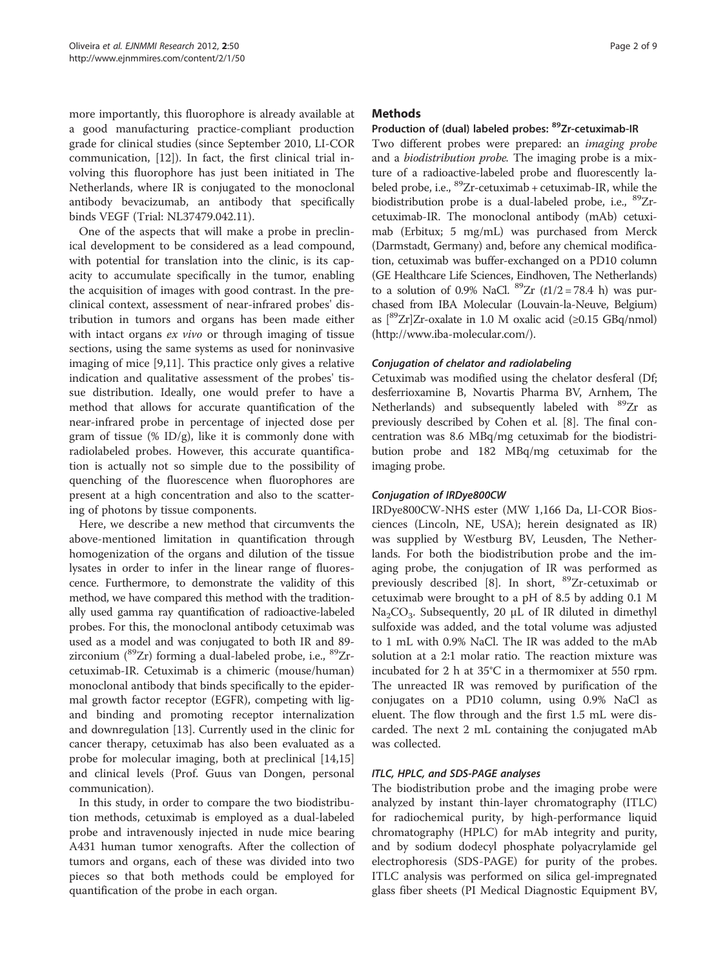more importantly, this fluorophore is already available at a good manufacturing practice-compliant production grade for clinical studies (since September 2010, LI-COR communication, [[12](#page-8-0)]). In fact, the first clinical trial involving this fluorophore has just been initiated in The Netherlands, where IR is conjugated to the monoclonal antibody bevacizumab, an antibody that specifically binds VEGF (Trial: NL37479.042.11).

One of the aspects that will make a probe in preclinical development to be considered as a lead compound, with potential for translation into the clinic, is its capacity to accumulate specifically in the tumor, enabling the acquisition of images with good contrast. In the preclinical context, assessment of near-infrared probes' distribution in tumors and organs has been made either with intact organs ex vivo or through imaging of tissue sections, using the same systems as used for noninvasive imaging of mice [[9,11\]](#page-8-0). This practice only gives a relative indication and qualitative assessment of the probes' tissue distribution. Ideally, one would prefer to have a method that allows for accurate quantification of the near-infrared probe in percentage of injected dose per gram of tissue  $(\%$  ID/g), like it is commonly done with radiolabeled probes. However, this accurate quantification is actually not so simple due to the possibility of quenching of the fluorescence when fluorophores are present at a high concentration and also to the scattering of photons by tissue components.

Here, we describe a new method that circumvents the above-mentioned limitation in quantification through homogenization of the organs and dilution of the tissue lysates in order to infer in the linear range of fluorescence. Furthermore, to demonstrate the validity of this method, we have compared this method with the traditionally used gamma ray quantification of radioactive-labeled probes. For this, the monoclonal antibody cetuximab was used as a model and was conjugated to both IR and 89 zirconium  $(^{89}Zr)$  forming a dual-labeled probe, i.e.,  $^{89}Zr$ cetuximab-IR. Cetuximab is a chimeric (mouse/human) monoclonal antibody that binds specifically to the epidermal growth factor receptor (EGFR), competing with ligand binding and promoting receptor internalization and downregulation [[13\]](#page-8-0). Currently used in the clinic for cancer therapy, cetuximab has also been evaluated as a probe for molecular imaging, both at preclinical [[14](#page-8-0),[15](#page-8-0)] and clinical levels (Prof. Guus van Dongen, personal communication).

In this study, in order to compare the two biodistribution methods, cetuximab is employed as a dual-labeled probe and intravenously injected in nude mice bearing A431 human tumor xenografts. After the collection of tumors and organs, each of these was divided into two pieces so that both methods could be employed for quantification of the probe in each organ.

## **Methods**

#### Production of (dual) labeled probes: 89Zr-cetuximab-IR

Two different probes were prepared: an imaging probe and a biodistribution probe. The imaging probe is a mixture of a radioactive-labeled probe and fluorescently labeled probe, i.e., 89Zr-cetuximab + cetuximab-IR, while the biodistribution probe is a dual-labeled probe, i.e., 89Zrcetuximab-IR. The monoclonal antibody (mAb) cetuximab (Erbitux; 5 mg/mL) was purchased from Merck (Darmstadt, Germany) and, before any chemical modification, cetuximab was buffer-exchanged on a PD10 column (GE Healthcare Life Sciences, Eindhoven, The Netherlands) to a solution of 0.9% NaCl.  ${}^{89}Zr$  (t1/2 = 78.4 h) was purchased from IBA Molecular (Louvain-la-Neuve, Belgium) as  $\left[^{89}Zr\right]Zr$ -oxalate in 1.0 M oxalic acid (≥0.15 GBq/nmol) ([http://www.iba-molecular.com/\)](http://www.iba-molecular.com/).

### Conjugation of chelator and radiolabeling

Cetuximab was modified using the chelator desferal (Df; desferrioxamine B, Novartis Pharma BV, Arnhem, The Netherlands) and subsequently labeled with <sup>89</sup>Zr as previously described by Cohen et al. [\[8](#page-8-0)]. The final concentration was 8.6 MBq/mg cetuximab for the biodistribution probe and 182 MBq/mg cetuximab for the imaging probe.

#### Conjugation of IRDye800CW

IRDye800CW-NHS ester (MW 1,166 Da, LI-COR Biosciences (Lincoln, NE, USA); herein designated as IR) was supplied by Westburg BV, Leusden, The Netherlands. For both the biodistribution probe and the imaging probe, the conjugation of IR was performed as previously described [\[8](#page-8-0)]. In short, <sup>89</sup>Zr-cetuximab or cetuximab were brought to a pH of 8.5 by adding 0.1 M Na<sub>2</sub>CO<sub>3</sub>. Subsequently, 20 μL of IR diluted in dimethyl sulfoxide was added, and the total volume was adjusted to 1 mL with 0.9% NaCl. The IR was added to the mAb solution at a 2:1 molar ratio. The reaction mixture was incubated for 2 h at 35°C in a thermomixer at 550 rpm. The unreacted IR was removed by purification of the conjugates on a PD10 column, using 0.9% NaCl as eluent. The flow through and the first 1.5 mL were discarded. The next 2 mL containing the conjugated mAb was collected.

#### ITLC, HPLC, and SDS-PAGE analyses

The biodistribution probe and the imaging probe were analyzed by instant thin-layer chromatography (ITLC) for radiochemical purity, by high-performance liquid chromatography (HPLC) for mAb integrity and purity, and by sodium dodecyl phosphate polyacrylamide gel electrophoresis (SDS-PAGE) for purity of the probes. ITLC analysis was performed on silica gel-impregnated glass fiber sheets (PI Medical Diagnostic Equipment BV,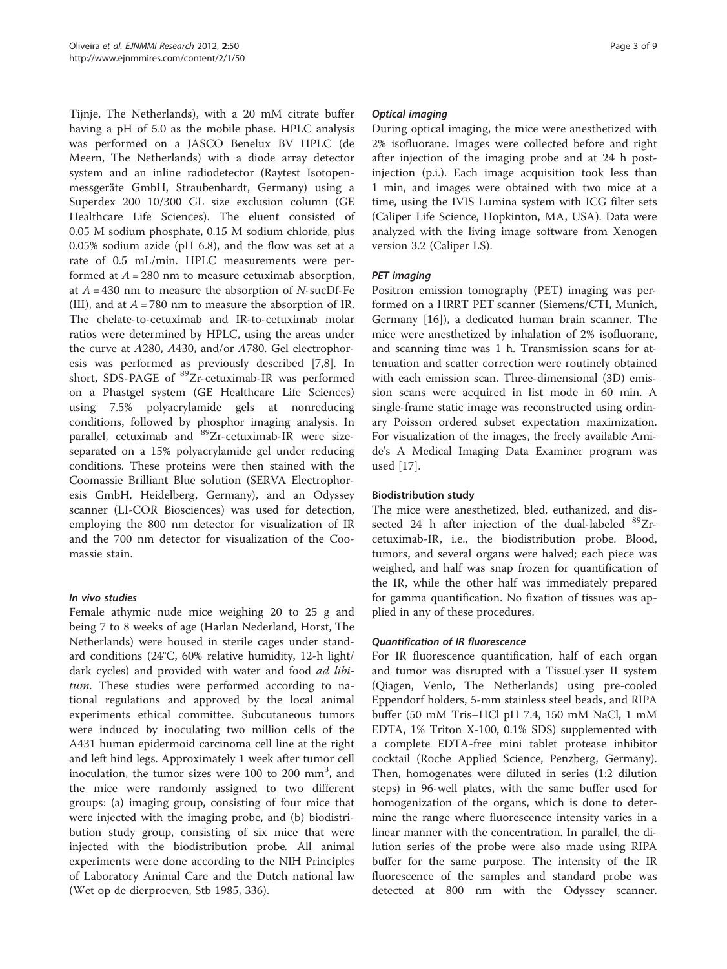Tijnje, The Netherlands), with a 20 mM citrate buffer having a pH of 5.0 as the mobile phase. HPLC analysis was performed on a JASCO Benelux BV HPLC (de Meern, The Netherlands) with a diode array detector system and an inline radiodetector (Raytest Isotopenmessgeräte GmbH, Straubenhardt, Germany) using a Superdex 200 10/300 GL size exclusion column (GE Healthcare Life Sciences). The eluent consisted of 0.05 M sodium phosphate, 0.15 M sodium chloride, plus 0.05% sodium azide (pH 6.8), and the flow was set at a rate of 0.5 mL/min. HPLC measurements were performed at  $A = 280$  nm to measure cetuximab absorption, at  $A = 430$  nm to measure the absorption of N-sucDf-Fe (III), and at  $A = 780$  nm to measure the absorption of IR. The chelate-to-cetuximab and IR-to-cetuximab molar ratios were determined by HPLC, using the areas under the curve at A280, A430, and/or A780. Gel electrophoresis was performed as previously described [\[7,8](#page-8-0)]. In short, SDS-PAGE of <sup>89</sup>Zr-cetuximab-IR was performed on a Phastgel system (GE Healthcare Life Sciences) using 7.5% polyacrylamide gels at nonreducing conditions, followed by phosphor imaging analysis. In parallel, cetuximab and <sup>89</sup>Zr-cetuximab-IR were sizeseparated on a 15% polyacrylamide gel under reducing conditions. These proteins were then stained with the Coomassie Brilliant Blue solution (SERVA Electrophoresis GmbH, Heidelberg, Germany), and an Odyssey scanner (LI-COR Biosciences) was used for detection, employing the 800 nm detector for visualization of IR and the 700 nm detector for visualization of the Coomassie stain.

# In vivo studies

Female athymic nude mice weighing 20 to 25 g and being 7 to 8 weeks of age (Harlan Nederland, Horst, The Netherlands) were housed in sterile cages under standard conditions (24°C, 60% relative humidity, 12-h light/ dark cycles) and provided with water and food *ad libi*tum. These studies were performed according to national regulations and approved by the local animal experiments ethical committee. Subcutaneous tumors were induced by inoculating two million cells of the A431 human epidermoid carcinoma cell line at the right and left hind legs. Approximately 1 week after tumor cell inoculation, the tumor sizes were 100 to 200 mm<sup>3</sup>, and the mice were randomly assigned to two different groups: (a) imaging group, consisting of four mice that were injected with the imaging probe, and (b) biodistribution study group, consisting of six mice that were injected with the biodistribution probe. All animal experiments were done according to the NIH Principles of Laboratory Animal Care and the Dutch national law (Wet op de dierproeven, Stb 1985, 336).

## Optical imaging

During optical imaging, the mice were anesthetized with 2% isofluorane. Images were collected before and right after injection of the imaging probe and at 24 h postinjection (p.i.). Each image acquisition took less than 1 min, and images were obtained with two mice at a time, using the IVIS Lumina system with ICG filter sets (Caliper Life Science, Hopkinton, MA, USA). Data were analyzed with the living image software from Xenogen version 3.2 (Caliper LS).

# PET imaging

Positron emission tomography (PET) imaging was performed on a HRRT PET scanner (Siemens/CTI, Munich, Germany [\[16\]](#page-8-0)), a dedicated human brain scanner. The mice were anesthetized by inhalation of 2% isofluorane, and scanning time was 1 h. Transmission scans for attenuation and scatter correction were routinely obtained with each emission scan. Three-dimensional (3D) emission scans were acquired in list mode in 60 min. A single-frame static image was reconstructed using ordinary Poisson ordered subset expectation maximization. For visualization of the images, the freely available Amide's A Medical Imaging Data Examiner program was used [[17](#page-8-0)].

### Biodistribution study

The mice were anesthetized, bled, euthanized, and dissected 24 h after injection of the dual-labeled  $^{89}Zr$ cetuximab-IR, i.e., the biodistribution probe. Blood, tumors, and several organs were halved; each piece was weighed, and half was snap frozen for quantification of the IR, while the other half was immediately prepared for gamma quantification. No fixation of tissues was applied in any of these procedures.

### Quantification of IR fluorescence

For IR fluorescence quantification, half of each organ and tumor was disrupted with a TissueLyser II system (Qiagen, Venlo, The Netherlands) using pre-cooled Eppendorf holders, 5-mm stainless steel beads, and RIPA buffer (50 mM Tris–HCl pH 7.4, 150 mM NaCl, 1 mM EDTA, 1% Triton X-100, 0.1% SDS) supplemented with a complete EDTA-free mini tablet protease inhibitor cocktail (Roche Applied Science, Penzberg, Germany). Then, homogenates were diluted in series (1:2 dilution steps) in 96-well plates, with the same buffer used for homogenization of the organs, which is done to determine the range where fluorescence intensity varies in a linear manner with the concentration. In parallel, the dilution series of the probe were also made using RIPA buffer for the same purpose. The intensity of the IR fluorescence of the samples and standard probe was detected at 800 nm with the Odyssey scanner.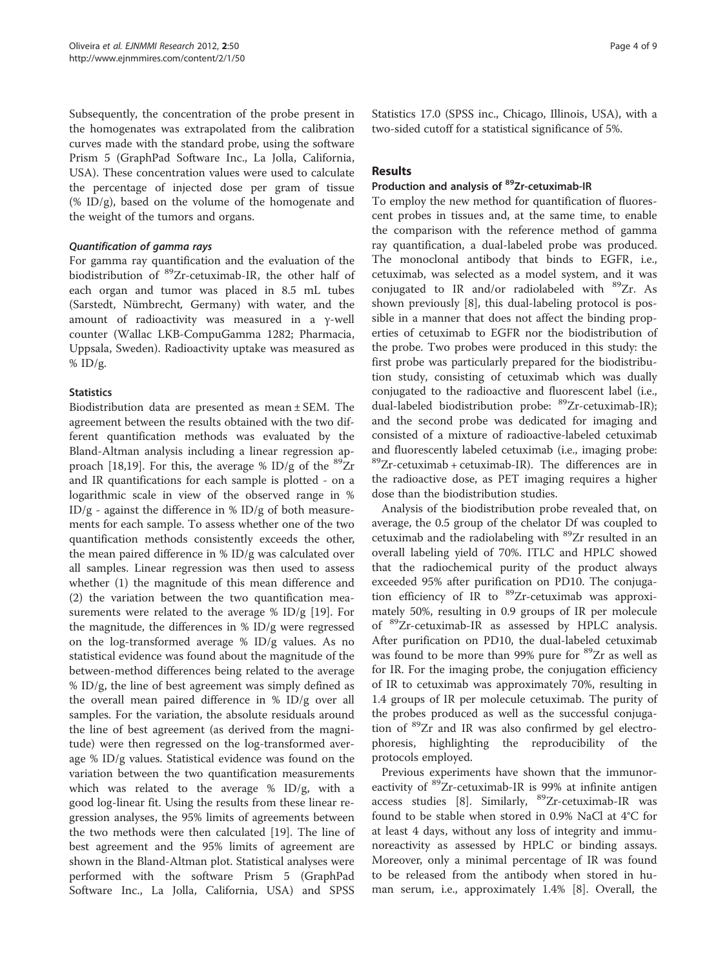Subsequently, the concentration of the probe present in the homogenates was extrapolated from the calibration curves made with the standard probe, using the software Prism 5 (GraphPad Software Inc., La Jolla, California, USA). These concentration values were used to calculate the percentage of injected dose per gram of tissue (% ID/g), based on the volume of the homogenate and the weight of the tumors and organs.

#### Quantification of gamma rays

For gamma ray quantification and the evaluation of the biodistribution of 89Zr-cetuximab-IR, the other half of each organ and tumor was placed in 8.5 mL tubes (Sarstedt, Nümbrecht, Germany) with water, and the amount of radioactivity was measured in a γ-well counter (Wallac LKB-CompuGamma 1282; Pharmacia, Uppsala, Sweden). Radioactivity uptake was measured as % ID/g.

### **Statistics**

Biodistribution data are presented as mean ± SEM. The agreement between the results obtained with the two different quantification methods was evaluated by the Bland-Altman analysis including a linear regression ap-proach [[18,19](#page-8-0)]. For this, the average % ID/g of the  ${}^{89}Zr$ and IR quantifications for each sample is plotted - on a logarithmic scale in view of the observed range in %  $ID/g$  - against the difference in %  $ID/g$  of both measurements for each sample. To assess whether one of the two quantification methods consistently exceeds the other, the mean paired difference in % ID/g was calculated over all samples. Linear regression was then used to assess whether (1) the magnitude of this mean difference and (2) the variation between the two quantification measurements were related to the average % ID/g [[19](#page-8-0)]. For the magnitude, the differences in % ID/g were regressed on the log-transformed average % ID/g values. As no statistical evidence was found about the magnitude of the between-method differences being related to the average % ID/g, the line of best agreement was simply defined as the overall mean paired difference in % ID/g over all samples. For the variation, the absolute residuals around the line of best agreement (as derived from the magnitude) were then regressed on the log-transformed average % ID/g values. Statistical evidence was found on the variation between the two quantification measurements which was related to the average % ID/g, with a good log-linear fit. Using the results from these linear regression analyses, the 95% limits of agreements between the two methods were then calculated [[19\]](#page-8-0). The line of best agreement and the 95% limits of agreement are shown in the Bland-Altman plot. Statistical analyses were performed with the software Prism 5 (GraphPad Software Inc., La Jolla, California, USA) and SPSS Statistics 17.0 (SPSS inc., Chicago, Illinois, USA), with a two-sided cutoff for a statistical significance of 5%.

### Results

# Production and analysis of <sup>89</sup>Zr-cetuximab-IR

To employ the new method for quantification of fluorescent probes in tissues and, at the same time, to enable the comparison with the reference method of gamma ray quantification, a dual-labeled probe was produced. The monoclonal antibody that binds to EGFR, i.e., cetuximab, was selected as a model system, and it was conjugated to IR and/or radiolabeled with <sup>89</sup>Zr. As shown previously [[8](#page-8-0)], this dual-labeling protocol is possible in a manner that does not affect the binding properties of cetuximab to EGFR nor the biodistribution of the probe. Two probes were produced in this study: the first probe was particularly prepared for the biodistribution study, consisting of cetuximab which was dually conjugated to the radioactive and fluorescent label (i.e., dual-labeled biodistribution probe: 89Zr-cetuximab-IR); and the second probe was dedicated for imaging and consisted of a mixture of radioactive-labeled cetuximab and fluorescently labeled cetuximab (i.e., imaging probe:  $89Zr$ -cetuximab + cetuximab-IR). The differences are in the radioactive dose, as PET imaging requires a higher dose than the biodistribution studies.

Analysis of the biodistribution probe revealed that, on average, the 0.5 group of the chelator Df was coupled to cetuximab and the radiolabeling with <sup>89</sup>Zr resulted in an overall labeling yield of 70%. ITLC and HPLC showed that the radiochemical purity of the product always exceeded 95% after purification on PD10. The conjugation efficiency of IR to  $^{89}Zr$ -cetuximab was approximately 50%, resulting in 0.9 groups of IR per molecule of 89Zr-cetuximab-IR as assessed by HPLC analysis. After purification on PD10, the dual-labeled cetuximab was found to be more than 99% pure for  ${}^{89}Zr$  as well as for IR. For the imaging probe, the conjugation efficiency of IR to cetuximab was approximately 70%, resulting in 1.4 groups of IR per molecule cetuximab. The purity of the probes produced as well as the successful conjugation of  ${}^{89}Zr$  and IR was also confirmed by gel electrophoresis, highlighting the reproducibility of the protocols employed.

Previous experiments have shown that the immunoreactivity of <sup>89</sup>Zr-cetuximab-IR is 99% at infinite antigen access studies [\[8](#page-8-0)]. Similarly, <sup>89</sup>Zr-cetuximab-IR was found to be stable when stored in 0.9% NaCl at 4°C for at least 4 days, without any loss of integrity and immunoreactivity as assessed by HPLC or binding assays. Moreover, only a minimal percentage of IR was found to be released from the antibody when stored in human serum, i.e., approximately 1.4% [\[8](#page-8-0)]. Overall, the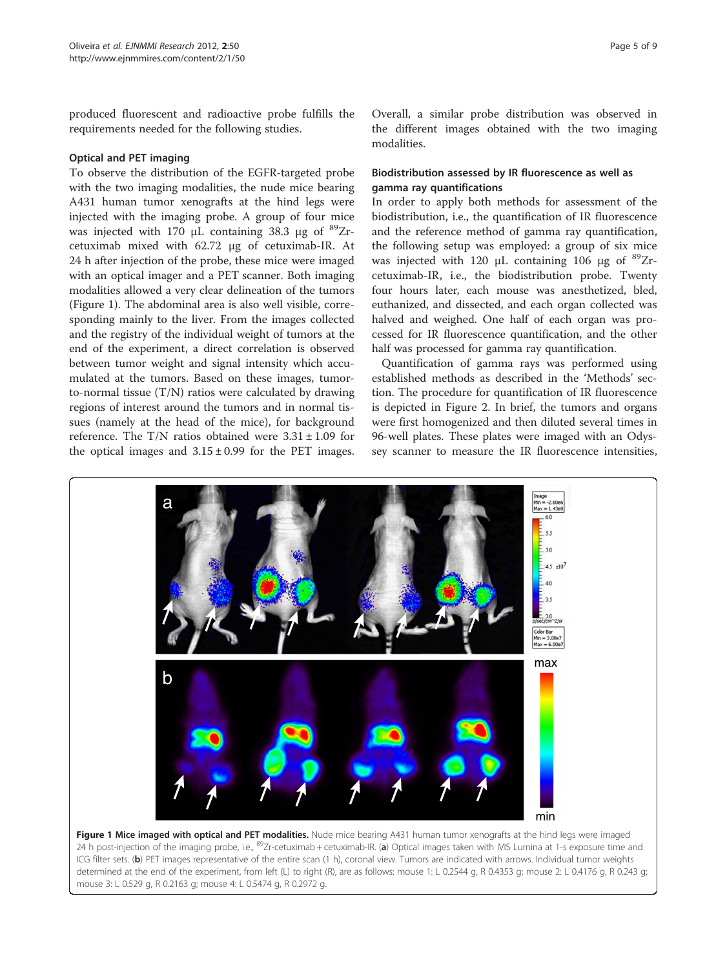<span id="page-4-0"></span>produced fluorescent and radioactive probe fulfills the requirements needed for the following studies.

#### Optical and PET imaging

To observe the distribution of the EGFR-targeted probe with the two imaging modalities, the nude mice bearing A431 human tumor xenografts at the hind legs were injected with the imaging probe. A group of four mice was injected with 170 μL containing 38.3 μg of  $89Zr$ cetuximab mixed with 62.72 μg of cetuximab-IR. At 24 h after injection of the probe, these mice were imaged with an optical imager and a PET scanner. Both imaging modalities allowed a very clear delineation of the tumors (Figure 1). The abdominal area is also well visible, corresponding mainly to the liver. From the images collected and the registry of the individual weight of tumors at the end of the experiment, a direct correlation is observed between tumor weight and signal intensity which accumulated at the tumors. Based on these images, tumorto-normal tissue (T/N) ratios were calculated by drawing regions of interest around the tumors and in normal tissues (namely at the head of the mice), for background reference. The T/N ratios obtained were  $3.31 \pm 1.09$  for the optical images and  $3.15 \pm 0.99$  for the PET images.

Overall, a similar probe distribution was observed in the different images obtained with the two imaging modalities.

#### Biodistribution assessed by IR fluorescence as well as gamma ray quantifications

In order to apply both methods for assessment of the biodistribution, i.e., the quantification of IR fluorescence and the reference method of gamma ray quantification, the following setup was employed: a group of six mice was injected with 120 μL containing 106 μg of  $89$ Zrcetuximab-IR, i.e., the biodistribution probe. Twenty four hours later, each mouse was anesthetized, bled, euthanized, and dissected, and each organ collected was halved and weighed. One half of each organ was processed for IR fluorescence quantification, and the other half was processed for gamma ray quantification.

Quantification of gamma rays was performed using established methods as described in the 'Methods' section. The procedure for quantification of IR fluorescence is depicted in Figure [2.](#page-5-0) In brief, the tumors and organs were first homogenized and then diluted several times in 96-well plates. These plates were imaged with an Odyssey scanner to measure the IR fluorescence intensities,



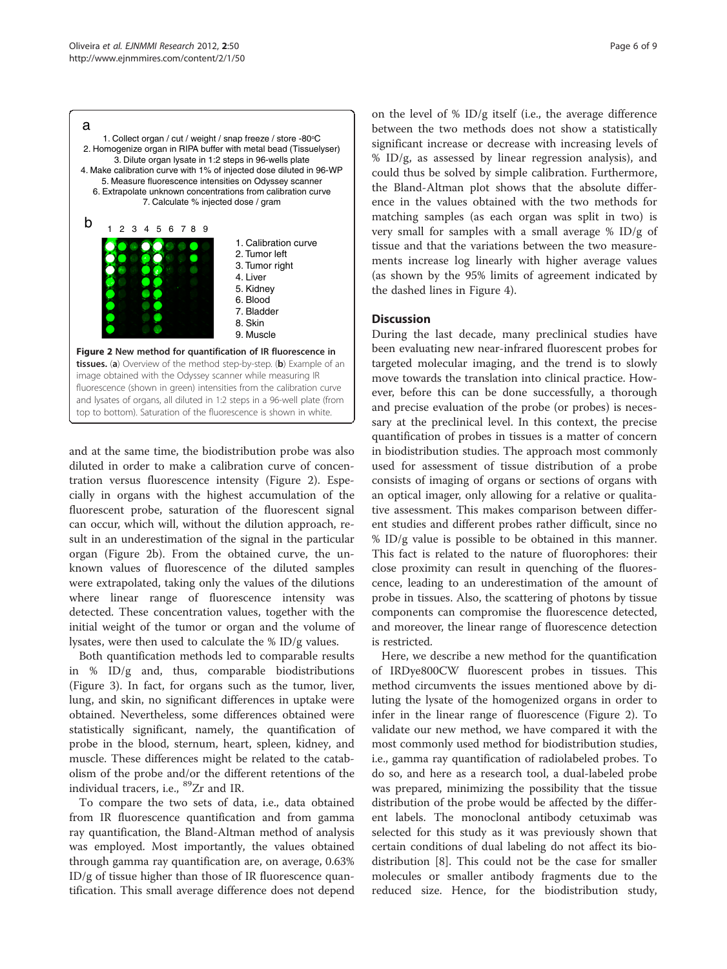#### <span id="page-5-0"></span>a



and at the same time, the biodistribution probe was also diluted in order to make a calibration curve of concentration versus fluorescence intensity (Figure 2). Especially in organs with the highest accumulation of the fluorescent probe, saturation of the fluorescent signal can occur, which will, without the dilution approach, result in an underestimation of the signal in the particular organ (Figure 2b). From the obtained curve, the unknown values of fluorescence of the diluted samples were extrapolated, taking only the values of the dilutions where linear range of fluorescence intensity was detected. These concentration values, together with the initial weight of the tumor or organ and the volume of lysates, were then used to calculate the % ID/g values.

Both quantification methods led to comparable results in % ID/g and, thus, comparable biodistributions (Figure [3\)](#page-6-0). In fact, for organs such as the tumor, liver, lung, and skin, no significant differences in uptake were obtained. Nevertheless, some differences obtained were statistically significant, namely, the quantification of probe in the blood, sternum, heart, spleen, kidney, and muscle. These differences might be related to the catabolism of the probe and/or the different retentions of the individual tracers, i.e., 89Zr and IR.

To compare the two sets of data, i.e., data obtained from IR fluorescence quantification and from gamma ray quantification, the Bland-Altman method of analysis was employed. Most importantly, the values obtained through gamma ray quantification are, on average, 0.63% ID/g of tissue higher than those of IR fluorescence quantification. This small average difference does not depend

on the level of % ID/g itself (i.e., the average difference between the two methods does not show a statistically significant increase or decrease with increasing levels of % ID/g, as assessed by linear regression analysis), and could thus be solved by simple calibration. Furthermore, the Bland-Altman plot shows that the absolute difference in the values obtained with the two methods for matching samples (as each organ was split in two) is very small for samples with a small average % ID/g of tissue and that the variations between the two measurements increase log linearly with higher average values (as shown by the 95% limits of agreement indicated by the dashed lines in Figure [4](#page-6-0)).

#### **Discussion**

During the last decade, many preclinical studies have been evaluating new near-infrared fluorescent probes for targeted molecular imaging, and the trend is to slowly move towards the translation into clinical practice. However, before this can be done successfully, a thorough and precise evaluation of the probe (or probes) is necessary at the preclinical level. In this context, the precise quantification of probes in tissues is a matter of concern in biodistribution studies. The approach most commonly used for assessment of tissue distribution of a probe consists of imaging of organs or sections of organs with an optical imager, only allowing for a relative or qualitative assessment. This makes comparison between different studies and different probes rather difficult, since no % ID/g value is possible to be obtained in this manner. This fact is related to the nature of fluorophores: their close proximity can result in quenching of the fluorescence, leading to an underestimation of the amount of probe in tissues. Also, the scattering of photons by tissue components can compromise the fluorescence detected, and moreover, the linear range of fluorescence detection is restricted.

Here, we describe a new method for the quantification of IRDye800CW fluorescent probes in tissues. This method circumvents the issues mentioned above by diluting the lysate of the homogenized organs in order to infer in the linear range of fluorescence (Figure 2). To validate our new method, we have compared it with the most commonly used method for biodistribution studies, i.e., gamma ray quantification of radiolabeled probes. To do so, and here as a research tool, a dual-labeled probe was prepared, minimizing the possibility that the tissue distribution of the probe would be affected by the different labels. The monoclonal antibody cetuximab was selected for this study as it was previously shown that certain conditions of dual labeling do not affect its biodistribution [[8\]](#page-8-0). This could not be the case for smaller molecules or smaller antibody fragments due to the reduced size. Hence, for the biodistribution study,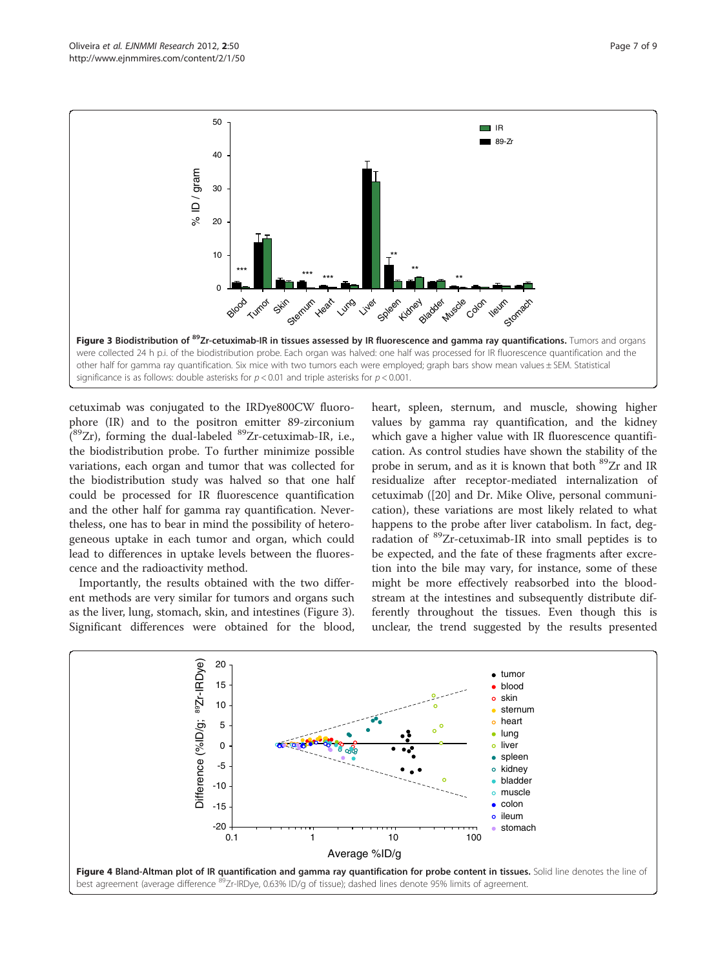<span id="page-6-0"></span>

cetuximab was conjugated to the IRDye800CW fluorophore (IR) and to the positron emitter 89-zirconium  $(^{89}Zr)$ , forming the dual-labeled  $^{89}Zr$ -cetuximab-IR, i.e., the biodistribution probe. To further minimize possible variations, each organ and tumor that was collected for the biodistribution study was halved so that one half could be processed for IR fluorescence quantification and the other half for gamma ray quantification. Nevertheless, one has to bear in mind the possibility of heterogeneous uptake in each tumor and organ, which could lead to differences in uptake levels between the fluorescence and the radioactivity method.

Importantly, the results obtained with the two different methods are very similar for tumors and organs such as the liver, lung, stomach, skin, and intestines (Figure 3). Significant differences were obtained for the blood, heart, spleen, sternum, and muscle, showing higher values by gamma ray quantification, and the kidney which gave a higher value with IR fluorescence quantification. As control studies have shown the stability of the probe in serum, and as it is known that both <sup>89</sup>Zr and IR residualize after receptor-mediated internalization of cetuximab ([[20](#page-8-0)] and Dr. Mike Olive, personal communication), these variations are most likely related to what happens to the probe after liver catabolism. In fact, degradation of <sup>89</sup>Zr-cetuximab-IR into small peptides is to be expected, and the fate of these fragments after excretion into the bile may vary, for instance, some of these might be more effectively reabsorbed into the bloodstream at the intestines and subsequently distribute differently throughout the tissues. Even though this is unclear, the trend suggested by the results presented

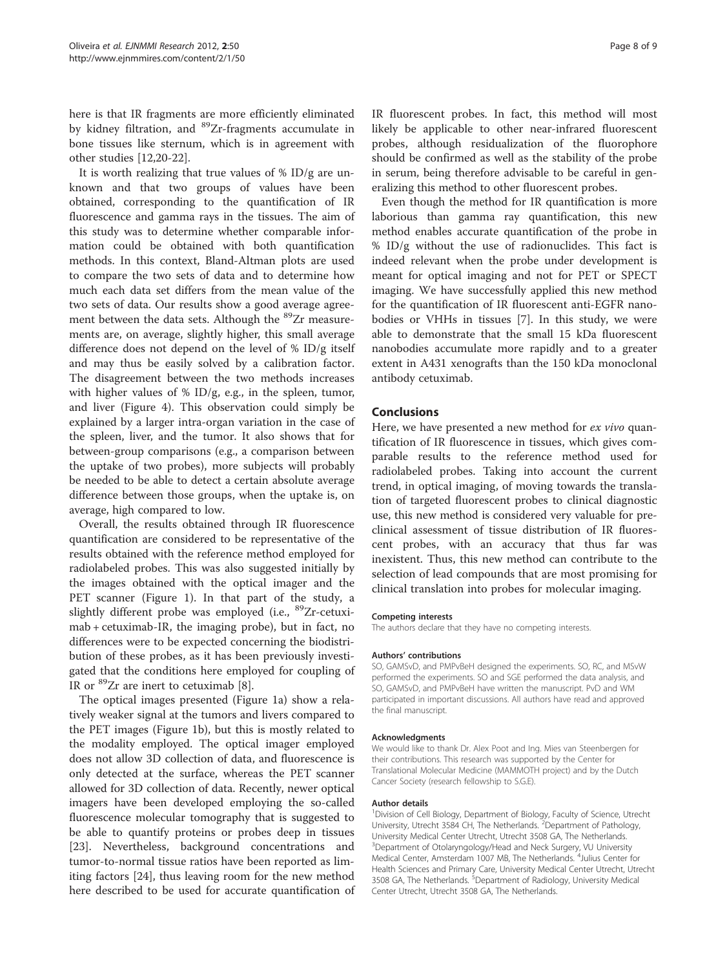here is that IR fragments are more efficiently eliminated by kidney filtration, and <sup>89</sup>Zr-fragments accumulate in bone tissues like sternum, which is in agreement with other studies [[12](#page-8-0),[20](#page-8-0)-[22\]](#page-8-0).

It is worth realizing that true values of % ID/g are unknown and that two groups of values have been obtained, corresponding to the quantification of IR fluorescence and gamma rays in the tissues. The aim of this study was to determine whether comparable information could be obtained with both quantification methods. In this context, Bland-Altman plots are used to compare the two sets of data and to determine how much each data set differs from the mean value of the two sets of data. Our results show a good average agreement between the data sets. Although the <sup>89</sup>Zr measurements are, on average, slightly higher, this small average difference does not depend on the level of % ID/g itself and may thus be easily solved by a calibration factor. The disagreement between the two methods increases with higher values of % ID/g, e.g., in the spleen, tumor, and liver (Figure [4](#page-6-0)). This observation could simply be explained by a larger intra-organ variation in the case of the spleen, liver, and the tumor. It also shows that for between-group comparisons (e.g., a comparison between the uptake of two probes), more subjects will probably be needed to be able to detect a certain absolute average difference between those groups, when the uptake is, on average, high compared to low.

Overall, the results obtained through IR fluorescence quantification are considered to be representative of the results obtained with the reference method employed for radiolabeled probes. This was also suggested initially by the images obtained with the optical imager and the PET scanner (Figure [1\)](#page-4-0). In that part of the study, a slightly different probe was employed (i.e., <sup>89</sup>Zr-cetuximab + cetuximab-IR, the imaging probe), but in fact, no differences were to be expected concerning the biodistribution of these probes, as it has been previously investigated that the conditions here employed for coupling of IR or  ${}^{89}Zr$  are inert to cetuximab [\[8\]](#page-8-0).

The optical images presented (Figure [1a](#page-4-0)) show a relatively weaker signal at the tumors and livers compared to the PET images (Figure [1](#page-4-0)b), but this is mostly related to the modality employed. The optical imager employed does not allow 3D collection of data, and fluorescence is only detected at the surface, whereas the PET scanner allowed for 3D collection of data. Recently, newer optical imagers have been developed employing the so-called fluorescence molecular tomography that is suggested to be able to quantify proteins or probes deep in tissues [[23\]](#page-8-0). Nevertheless, background concentrations and tumor-to-normal tissue ratios have been reported as limiting factors [\[24\]](#page-8-0), thus leaving room for the new method here described to be used for accurate quantification of

IR fluorescent probes. In fact, this method will most likely be applicable to other near-infrared fluorescent probes, although residualization of the fluorophore should be confirmed as well as the stability of the probe in serum, being therefore advisable to be careful in generalizing this method to other fluorescent probes.

Even though the method for IR quantification is more laborious than gamma ray quantification, this new method enables accurate quantification of the probe in % ID/g without the use of radionuclides. This fact is indeed relevant when the probe under development is meant for optical imaging and not for PET or SPECT imaging. We have successfully applied this new method for the quantification of IR fluorescent anti-EGFR nanobodies or VHHs in tissues [[7\]](#page-8-0). In this study, we were able to demonstrate that the small 15 kDa fluorescent nanobodies accumulate more rapidly and to a greater extent in A431 xenografts than the 150 kDa monoclonal antibody cetuximab.

#### Conclusions

Here, we have presented a new method for ex vivo quantification of IR fluorescence in tissues, which gives comparable results to the reference method used for radiolabeled probes. Taking into account the current trend, in optical imaging, of moving towards the translation of targeted fluorescent probes to clinical diagnostic use, this new method is considered very valuable for preclinical assessment of tissue distribution of IR fluorescent probes, with an accuracy that thus far was inexistent. Thus, this new method can contribute to the selection of lead compounds that are most promising for clinical translation into probes for molecular imaging.

#### Competing interests

The authors declare that they have no competing interests.

#### Authors' contributions

SO, GAMSvD, and PMPvBeH designed the experiments. SO, RC, and MSvW performed the experiments. SO and SGE performed the data analysis, and SO, GAMSvD, and PMPvBeH have written the manuscript. PvD and WM participated in important discussions. All authors have read and approved the final manuscript.

#### Acknowledgments

We would like to thank Dr. Alex Poot and Ing. Mies van Steenbergen for their contributions. This research was supported by the Center for Translational Molecular Medicine (MAMMOTH project) and by the Dutch Cancer Society (research fellowship to S.G.E).

#### Author details

<sup>1</sup> Division of Cell Biology, Department of Biology, Faculty of Science, Utrecht University, Utrecht 3584 CH, The Netherlands. <sup>2</sup>Department of Pathology, University Medical Center Utrecht, Utrecht 3508 GA, The Netherlands. <sup>3</sup>Department of Otolaryngology/Head and Neck Surgery, VU University Medical Center, Amsterdam 1007 MB, The Netherlands. <sup>4</sup>Julius Center for Health Sciences and Primary Care, University Medical Center Utrecht, Utrecht 3508 GA, The Netherlands. <sup>5</sup>Department of Radiology, University Medical Center Utrecht, Utrecht 3508 GA, The Netherlands.